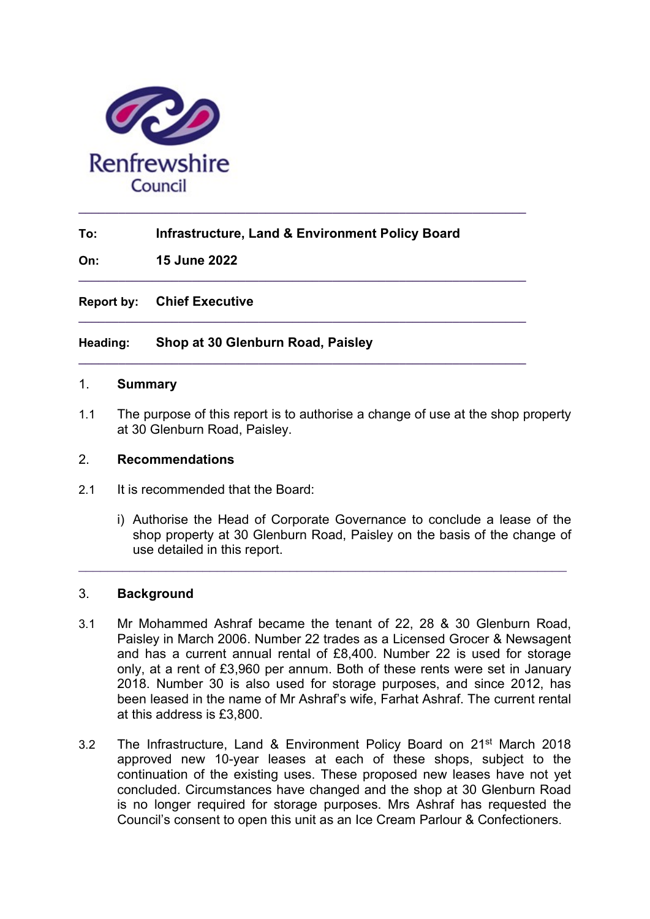

# To: Infrastructure, Land & Environment Policy Board

 $\_$  ,  $\_$  ,  $\_$  ,  $\_$  ,  $\_$  ,  $\_$  ,  $\_$  ,  $\_$  ,  $\_$  ,  $\_$  ,  $\_$  ,  $\_$  ,  $\_$  ,  $\_$  ,  $\_$  ,  $\_$  ,  $\_$  ,  $\_$  ,  $\_$ 

 $\_$  ,  $\_$  ,  $\_$  ,  $\_$  ,  $\_$  ,  $\_$  ,  $\_$  ,  $\_$  ,  $\_$  ,  $\_$  ,  $\_$  ,  $\_$  ,  $\_$  ,  $\_$  ,  $\_$  ,  $\_$  ,  $\_$  ,  $\_$  ,  $\_$ 

 $\_$  , and the set of the set of the set of the set of the set of the set of the set of the set of the set of the set of the set of the set of the set of the set of the set of the set of the set of the set of the set of th

On: 15 June 2022

Report by: Chief Executive

## Heading: Shop at 30 Glenburn Road, Paisley

#### 1. Summary

1.1 The purpose of this report is to authorise a change of use at the shop property at 30 Glenburn Road, Paisley.

### 2. Recommendations

- 2.1 It is recommended that the Board:
	- i) Authorise the Head of Corporate Governance to conclude a lease of the shop property at 30 Glenburn Road, Paisley on the basis of the change of use detailed in this report.

### 3. Background

3.1 Mr Mohammed Ashraf became the tenant of 22, 28 & 30 Glenburn Road, Paisley in March 2006. Number 22 trades as a Licensed Grocer & Newsagent and has a current annual rental of £8,400. Number 22 is used for storage only, at a rent of £3,960 per annum. Both of these rents were set in January 2018. Number 30 is also used for storage purposes, and since 2012, has been leased in the name of Mr Ashraf's wife, Farhat Ashraf. The current rental at this address is £3,800.

 $\_$  , and the contribution of the contribution of  $\mathcal{L}_\mathcal{A}$  , and the contribution of  $\mathcal{L}_\mathcal{A}$ 

3.2 The Infrastructure, Land & Environment Policy Board on 21<sup>st</sup> March 2018 approved new 10-year leases at each of these shops, subject to the continuation of the existing uses. These proposed new leases have not yet concluded. Circumstances have changed and the shop at 30 Glenburn Road is no longer required for storage purposes. Mrs Ashraf has requested the Council's consent to open this unit as an Ice Cream Parlour & Confectioners.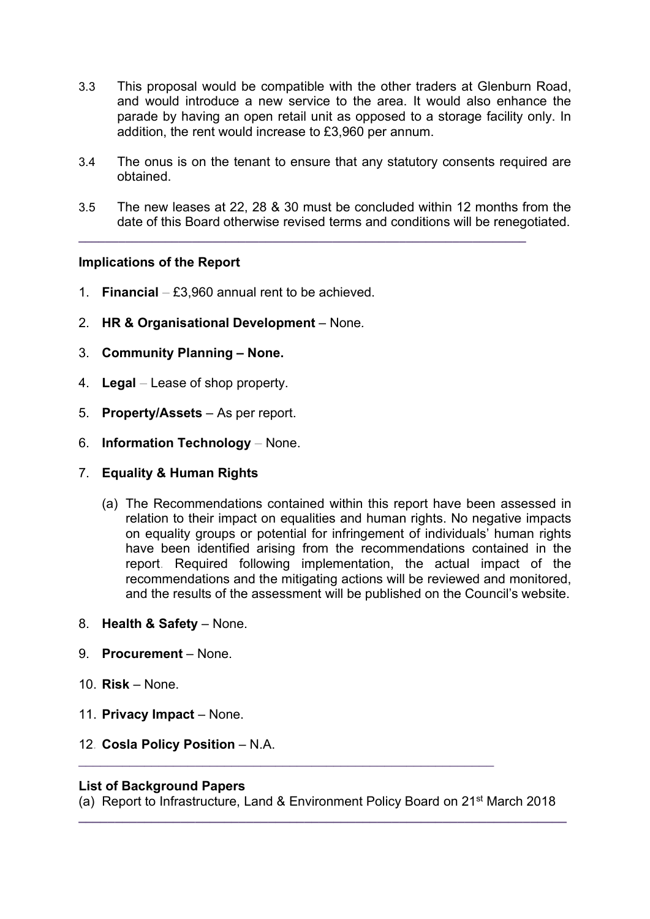- 3.3 This proposal would be compatible with the other traders at Glenburn Road, and would introduce a new service to the area. It would also enhance the parade by having an open retail unit as opposed to a storage facility only. In addition, the rent would increase to £3,960 per annum.
- 3.4 The onus is on the tenant to ensure that any statutory consents required are obtained.
- 3.5 The new leases at 22, 28 & 30 must be concluded within 12 months from the date of this Board otherwise revised terms and conditions will be renegotiated.

 $\_$  , and the set of the set of the set of the set of the set of the set of the set of the set of the set of the set of the set of the set of the set of the set of the set of the set of the set of the set of the set of th

# Implications of the Report

- 1. Financial  $£3,960$  annual rent to be achieved.
- 2. HR & Organisational Development None.
- 3. Community Planning None.
- 4. Legal Lease of shop property.
- 5. Property/Assets As per report.
- 6. Information Technology None.
- 7. Equality & Human Rights
	- (a) The Recommendations contained within this report have been assessed in relation to their impact on equalities and human rights. No negative impacts on equality groups or potential for infringement of individuals' human rights have been identified arising from the recommendations contained in the report. Required following implementation, the actual impact of the recommendations and the mitigating actions will be reviewed and monitored, and the results of the assessment will be published on the Council's website.
- 8. Health & Safety None.
- 9. Procurement None.
- 10. Risk None.
- 11. Privacy Impact None.
- 12. Cosla Policy Position N.A.

## List of Background Papers

(a) Report to Infrastructure, Land & Environment Policy Board on 21<sup>st</sup> March 2018  $\_$  ,  $\_$  ,  $\_$  ,  $\_$  ,  $\_$  ,  $\_$  ,  $\_$  ,  $\_$  ,  $\_$  ,  $\_$  ,  $\_$  ,  $\_$  ,  $\_$  ,  $\_$  ,  $\_$  ,  $\_$  ,  $\_$  ,  $\_$ 

 $\mathcal{L}_\mathcal{L}$  , and the contribution of the contribution of the contribution of the contribution of the contribution of the contribution of the contribution of the contribution of the contribution of the contribution of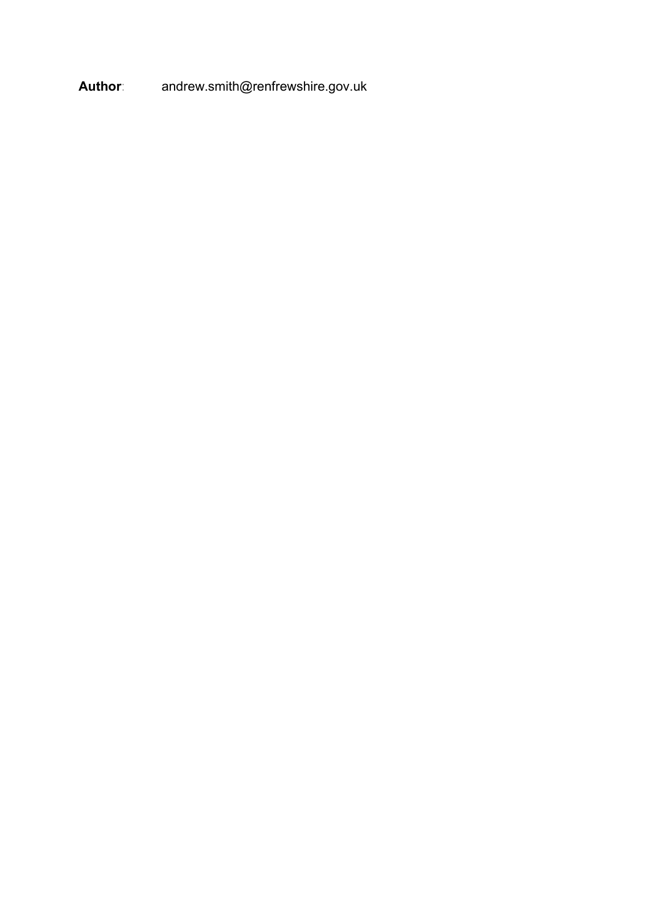Author: andrew.smith@renfrewshire.gov.uk